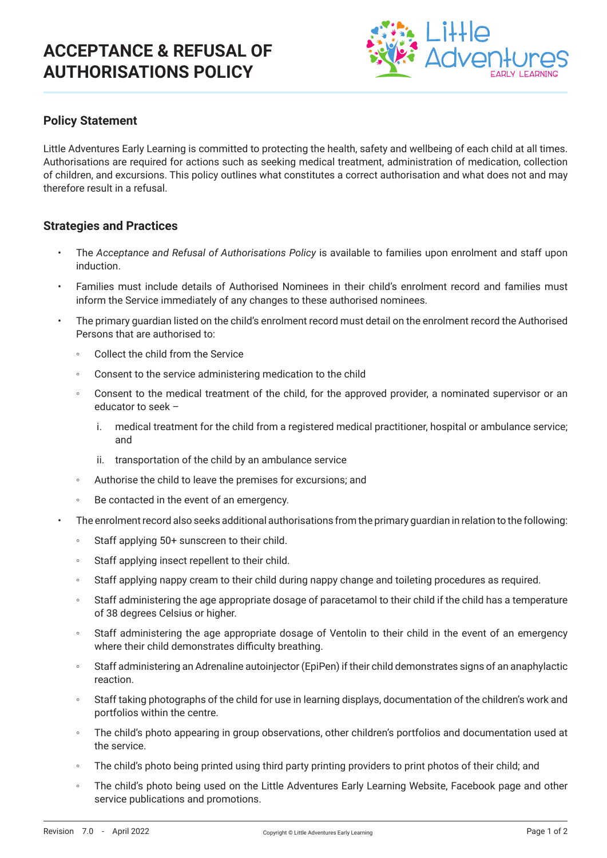## **ACCEPTANCE & REFUSAL OF AUTHORISATIONS POLICY**



### **Policy Statement**

Little Adventures Early Learning is committed to protecting the health, safety and wellbeing of each child at all times. Authorisations are required for actions such as seeking medical treatment, administration of medication, collection of children, and excursions. This policy outlines what constitutes a correct authorisation and what does not and may therefore result in a refusal.

#### **Strategies and Practices**

- The *Acceptance and Refusal of Authorisations Policy* is available to families upon enrolment and staff upon induction.
- Families must include details of Authorised Nominees in their child's enrolment record and families must inform the Service immediately of any changes to these authorised nominees.
- The primary guardian listed on the child's enrolment record must detail on the enrolment record the Authorised Persons that are authorised to:
	- Collect the child from the Service
	- Consent to the service administering medication to the child
	- Consent to the medical treatment of the child, for the approved provider, a nominated supervisor or an educator to seek –
		- i. medical treatment for the child from a registered medical practitioner, hospital or ambulance service; and
		- ii. transportation of the child by an ambulance service
	- Authorise the child to leave the premises for excursions; and
	- Be contacted in the event of an emergency.
- The enrolment record also seeks additional authorisations from the primary guardian in relation to the following:
	- Staff applying 50+ sunscreen to their child.
	- Staff applying insect repellent to their child.
	- Staff applying nappy cream to their child during nappy change and toileting procedures as required.
	- Staff administering the age appropriate dosage of paracetamol to their child if the child has a temperature of 38 degrees Celsius or higher.
	- Staff administering the age appropriate dosage of Ventolin to their child in the event of an emergency where their child demonstrates difficulty breathing.
	- Staff administering an Adrenaline autoinjector (EpiPen) if their child demonstrates signs of an anaphylactic reaction.
	- Staff taking photographs of the child for use in learning displays, documentation of the children's work and portfolios within the centre.
	- The child's photo appearing in group observations, other children's portfolios and documentation used at the service.
	- The child's photo being printed using third party printing providers to print photos of their child; and
	- The child's photo being used on the Little Adventures Early Learning Website, Facebook page and other service publications and promotions.